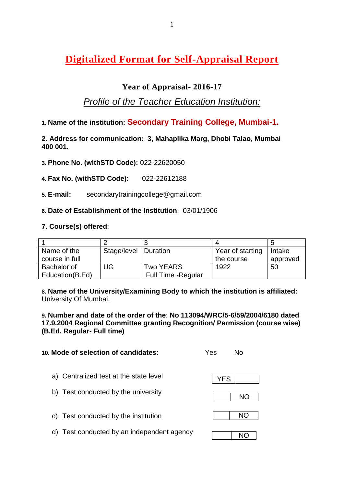# **Digitalized Format for Self-Appraisal Report**

# **Year of Appraisal**- **2016-17**

# *Profile of the Teacher Education Institution:*

**1. Name of the institution: Secondary Training College, Mumbai-1.**

**2. Address for communication: 3, Mahaplika Marg, Dhobi Talao, Mumbai 400 001.**

- **3. Phone No. (withSTD Code):** 022-22620050
- **4. Fax No. (withSTD Code)**: 022-22612188
- **5. E-mail:** secondarytrainingcollege@gmail.com
- **6. Date of Establishment of the Institution**: 03/01/1906

## **7. Course(s) offered**:

| Name of the     | Stage/level   Duration |                     | Year of starting | Intake   |
|-----------------|------------------------|---------------------|------------------|----------|
| course in full  |                        |                     | the course       | approved |
| Bachelor of     | UG                     | Two YEARS           | 1922             | 50       |
| Education(B.Ed) |                        | Full Time - Regular |                  |          |

**8. Name of the University/Examining Body to which the institution is affiliated:** University Of Mumbai.

**9. Number and date of the order of the**: **No 113094/WRC/5-6/59/2004/6180 dated 17.9.2004 Regional Committee granting Recognition/ Permission (course wise) (B.Ed. Regular- Full time)**

| 10. Mode of selection of candidates:       | Yes | N٥  |
|--------------------------------------------|-----|-----|
| a) Centralized test at the state level     | YES |     |
| b) Test conducted by the university        |     | NO. |
| c) Test conducted by the institution       |     | NΟ  |
| d) Test conducted by an independent agency |     | NC. |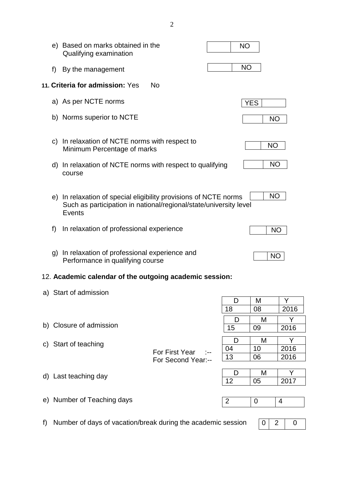|    |              | e) Based on marks obtained in the<br>Qualifying examination                                                                                            |                                      | <b>NO</b>      |            |           |
|----|--------------|--------------------------------------------------------------------------------------------------------------------------------------------------------|--------------------------------------|----------------|------------|-----------|
|    | f)           | By the management                                                                                                                                      |                                      | <b>NO</b>      |            |           |
|    |              | 11. Criteria for admission: Yes                                                                                                                        | <b>No</b>                            |                |            |           |
|    |              | a) As per NCTE norms                                                                                                                                   |                                      |                | <b>YES</b> |           |
|    |              | b) Norms superior to NCTE                                                                                                                              |                                      |                | <b>NO</b>  |           |
|    |              | c) In relaxation of NCTE norms with respect to<br>Minimum Percentage of marks                                                                          |                                      |                | <b>NO</b>  |           |
|    |              | d) In relaxation of NCTE norms with respect to qualifying<br>course                                                                                    |                                      |                | <b>NO</b>  |           |
|    |              | e) In relaxation of special eligibility provisions of NCTE norms<br>Such as participation in national/regional/state/university level<br><b>Events</b> |                                      |                | <b>NO</b>  |           |
|    | f            | In relaxation of professional experience                                                                                                               |                                      |                | <b>NO</b>  |           |
|    | $\mathsf{q}$ | In relaxation of professional experience and<br>Performance in qualifying course                                                                       |                                      |                | <b>NO</b>  |           |
|    |              | 12. Academic calendar of the outgoing academic session:                                                                                                |                                      |                |            |           |
|    |              | a) Start of admission                                                                                                                                  |                                      |                |            |           |
|    |              |                                                                                                                                                        |                                      | D              | M          | Y         |
|    |              |                                                                                                                                                        |                                      | 18             | 08         | 2016      |
|    |              | b) Closure of admission                                                                                                                                |                                      | D<br>15        | M<br>09    | Y<br>2016 |
|    |              |                                                                                                                                                        |                                      |                |            |           |
| C) |              | Start of teaching                                                                                                                                      |                                      | D<br>04        | M<br>10    | Y<br>2016 |
|    |              |                                                                                                                                                        | For First Year<br>For Second Year:-- | 13             | 06         | 2016      |
|    |              | d) Last teaching day                                                                                                                                   |                                      | D              | M          | Y         |
|    |              |                                                                                                                                                        |                                      | 12             | 05         | 2017      |
|    |              |                                                                                                                                                        |                                      |                |            |           |
|    |              | e) Number of Teaching days                                                                                                                             |                                      | $\overline{2}$ | 0          | 4         |
|    |              |                                                                                                                                                        |                                      |                |            |           |

f) Number of days of vacation/break during the academic session

 $0 2 0$ 

2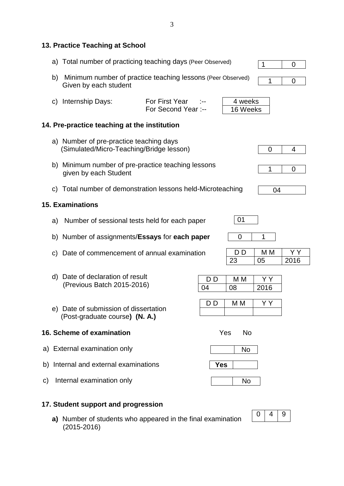### **13. Practice Teaching at School**

- a) Total number of practicing teaching days (Peer Observed) 1 0
- b) Minimum number of practice teaching lessons (Peer Observed) Given by each student
- c) Internship Days: For First Year :--For Second Year :-- 4 weeks 16 Weeks

## **14. Pre-practice teaching at the institution**

- a) Number of pre-practice teaching days (Simulated/Micro-Teaching/Bridge lesson)
- b) Minimum number of pre-practice teaching lessons given by each Student
- c) Total number of demonstration lessons held-Microteaching

### **15. Examinations**

- a) Number of sessional tests held for each paper
- b) Number of assignments/**Essays** for **each paper**
- c) Date of commencement of annual examination
- d) Date of declaration of result (Previous Batch 2015-2016)
- e) Date of submission of dissertation (Post-graduate course**) (N. A.)**

### **16. Scheme of examination** Yes No

- a) External examination only
- b) Internal and external examinations
- c) Internal examination only

### **17. Student support and progression**

**a)** Number of students who appeared in the final examination (2015-2016)

# $0 \mid 4$

1 0







| $\mathsf{L}$ | M |      |
|--------------|---|------|
| つつ           |   | 2016 |

| $\mathbf{D}$ | M<br>л |      |
|--------------|--------|------|
|              |        | 2016 |

| D. | М<br>VI |  |
|----|---------|--|
|    |         |  |



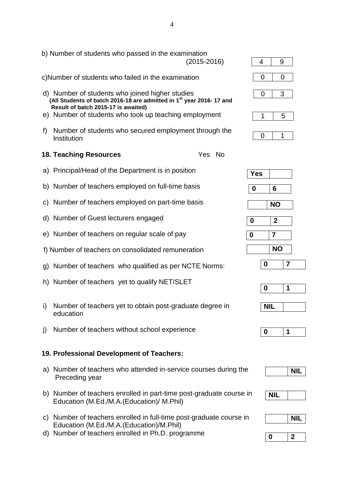|              | b) Number of students who passed in the examination<br>$(2015 - 2016)$                                                                                                                                                             | 4                | 9                |                |
|--------------|------------------------------------------------------------------------------------------------------------------------------------------------------------------------------------------------------------------------------------|------------------|------------------|----------------|
|              | c)Number of students who failed in the examination                                                                                                                                                                                 | 0                | 0                |                |
|              | d) Number of students who joined higher studies<br>(All Students of batch 2016-18 are admitted in 1 <sup>st</sup> year 2016-17 and<br>Result of batch 2015-17 is awaited)<br>e) Number of students who took up teaching employment | 0<br>1           | 3<br>5           |                |
|              |                                                                                                                                                                                                                                    |                  |                  |                |
| f)           | Number of students who secured employment through the<br>Institution                                                                                                                                                               | 0                | 1                |                |
|              | <b>18. Teaching Resources</b><br>Yes No                                                                                                                                                                                            |                  |                  |                |
|              | a) Principal/Head of the Department is in position                                                                                                                                                                                 | <b>Yes</b>       |                  |                |
|              | b) Number of teachers employed on full-time basis                                                                                                                                                                                  | 0                | 6                |                |
| $\mathsf{C}$ | Number of teachers employed on part-time basis                                                                                                                                                                                     |                  | <b>NO</b>        |                |
|              | d) Number of Guest lecturers engaged                                                                                                                                                                                               | $\boldsymbol{0}$ | $\boldsymbol{2}$ |                |
|              | e) Number of teachers on regular scale of pay                                                                                                                                                                                      | $\boldsymbol{0}$ | $\overline{7}$   |                |
|              | f) Number of teachers on consolidated remuneration                                                                                                                                                                                 |                  | <b>NO</b>        |                |
|              | g) Number of teachers who qualified as per NCTE Norms:                                                                                                                                                                             |                  | $\boldsymbol{0}$ | $\overline{7}$ |
|              | h) Number of teachers yet to qualify NET/SLET                                                                                                                                                                                      |                  | 0                | 1              |
| i)           | Number of teachers yet to obtain post-graduate degree in<br>education                                                                                                                                                              |                  | <b>NIL</b>       |                |
| j)           | Number of teachers without school experience                                                                                                                                                                                       |                  | $\boldsymbol{0}$ | 1              |
|              |                                                                                                                                                                                                                                    |                  |                  |                |
|              | 19. Professional Development of Teachers:                                                                                                                                                                                          |                  |                  |                |
|              | a) Number of teachers who attended in-service courses during the<br>Preceding year                                                                                                                                                 |                  |                  | <b>NIL</b>     |
|              | b) Number of teachers enrolled in part-time post-graduate course in<br>Education (M.Ed./M.A.(Education)/ M.Phil)                                                                                                                   |                  | <b>NIL</b>       |                |
|              | c) Number of teachers enrolled in full-time post-graduate course in                                                                                                                                                                |                  |                  | <b>NIL</b>     |
|              | Education (M.Ed./M.A.(Education)/M.Phil)<br>d) Number of teachers enrolled in Ph.D. programme                                                                                                                                      |                  | $\bf{0}$         | $\mathbf{2}$   |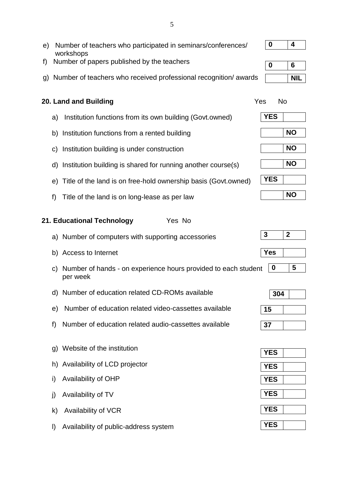e) Number of teachers who participated in seminars/conferences/ workshops f) Number of papers published by the teachers g) Number of teachers who received professional recognition/ awards **20. Land and Building**  The Contract of the Ves No. The Ves No. a) Institution functions from its own building (Govt.owned) b) Institution functions from a rented building c) Institution building is under construction d) Institution building is shared for running another course(s) e) Title of the land is on free-hold ownership basis (Govt.owned) f) Title of the land is on long-lease as per law **21. Educational Technology** Yes No a) Number of computers with supporting accessories b) Access to Internet c) Number of hands - on experience hours provided to each student per week d) Number of education related CD-ROMs available e) Number of education related video-cassettes available f) Number of education related audio-cassettes available g) Website of the institution h) Availability of LCD projector i) Availability of OHP j) Availability of TV k) Availability of VCR **0 4 0 6 NIL YES NO NO NO YES NO 3 2 Yes 0 5 304 15 37 YES YES YES YES YES**

**YES**

l) Availability of public-address system

5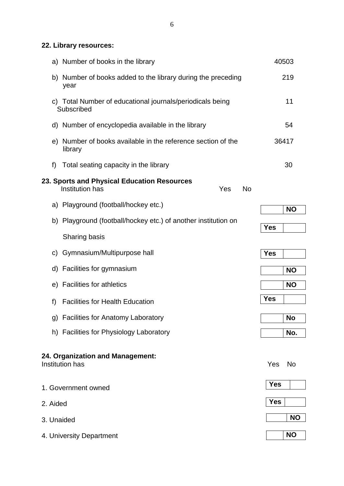**22. Library resources:**

|            | a) Number of books in the library                                                  | 40503      |           |
|------------|------------------------------------------------------------------------------------|------------|-----------|
|            | b) Number of books added to the library during the preceding<br>year               |            | 219       |
|            | c) Total Number of educational journals/periodicals being<br>Subscribed            |            | 11        |
|            | d) Number of encyclopedia available in the library                                 |            | 54        |
|            | e) Number of books available in the reference section of the<br>library            | 36417      |           |
| f)         | Total seating capacity in the library                                              |            | 30        |
|            | 23. Sports and Physical Education Resources<br>Institution has<br>Yes<br><b>No</b> |            |           |
|            | a) Playground (football/hockey etc.)                                               |            | <b>NO</b> |
|            | b) Playground (football/hockey etc.) of another institution on                     | <b>Yes</b> |           |
|            | Sharing basis                                                                      |            |           |
| C)         | Gymnasium/Multipurpose hall                                                        | <b>Yes</b> |           |
|            | d) Facilities for gymnasium                                                        |            | <b>NO</b> |
|            | e) Facilities for athletics                                                        |            | <b>NO</b> |
| f)         | <b>Facilities for Health Education</b>                                             | <b>Yes</b> |           |
|            | g) Facilities for Anatomy Laboratory                                               |            | <b>No</b> |
|            | h) Facilities for Physiology Laboratory                                            |            | No.       |
|            | 24. Organization and Management:<br>Institution has                                | Yes        | <b>No</b> |
|            | 1. Government owned                                                                | <b>Yes</b> |           |
| 2. Aided   |                                                                                    | <b>Yes</b> |           |
| 3. Unaided |                                                                                    |            | <b>NO</b> |
|            | 4. University Department                                                           |            | <b>NO</b> |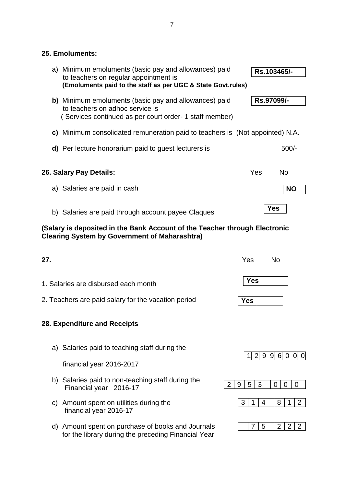### **25. Emoluments:**

| a) Minimum emoluments (basic pay and allowances) paid<br>to teachers on regular appointment is<br>(Emoluments paid to the staff as per UGC & State Govt.rules) | Rs.103465/-                        |
|----------------------------------------------------------------------------------------------------------------------------------------------------------------|------------------------------------|
| b) Minimum emoluments (basic pay and allowances) paid<br>to teachers on adhoc service is<br>(Services continued as per court order- 1 staff member)            | Rs.97099/-                         |
| c) Minimum consolidated remuneration paid to teachers is (Not appointed) N.A.                                                                                  |                                    |
| d) Per lecture honorarium paid to guest lecturers is                                                                                                           | $500/-$                            |
| 26. Salary Pay Details:                                                                                                                                        | Yes<br><b>No</b>                   |
| a) Salaries are paid in cash                                                                                                                                   | <b>NO</b>                          |
| b) Salaries are paid through account payee Claques                                                                                                             | <b>Yes</b>                         |
| (Salary is deposited in the Bank Account of the Teacher through Electronic<br><b>Clearing System by Government of Maharashtra)</b>                             |                                    |
| 27.                                                                                                                                                            | Yes<br><b>No</b>                   |
| 1. Salaries are disbursed each month                                                                                                                           | <b>Yes</b>                         |
| 2. Teachers are paid salary for the vacation period                                                                                                            | Yes                                |
| 28. Expenditure and Receipts                                                                                                                                   |                                    |
| a) Salaries paid to teaching staff during the                                                                                                                  |                                    |
| financial year 2016-2017                                                                                                                                       | 2  9  9  6  0  0  0<br>$\mathbf 1$ |

 $2 | 9 | 5 | 3 | 0 | 0 | 0$ 

 $3 1 4 8 1 2$ 

 $7 | 5 | 2 | 2 | 2 |$ 

b) Salaries paid to non-teaching staff during the Financial year 2016-17

- c) Amount spent on utilities during the financial year 2016-17
- d) Amount spent on purchase of books and Journals for the library during the preceding Financial Year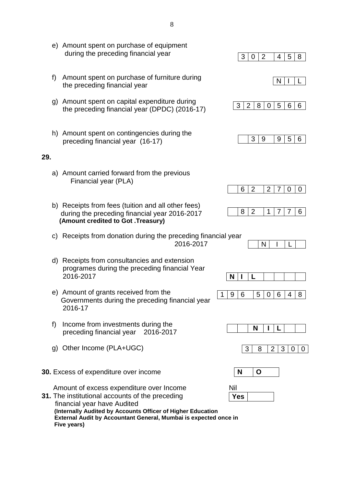|     |    | e) Amount spent on purchase of equipment<br>during the preceding financial year                                                                                                           | 3<br>$\overline{2}$<br>5<br>8<br>$\mathbf 0$<br>4              |
|-----|----|-------------------------------------------------------------------------------------------------------------------------------------------------------------------------------------------|----------------------------------------------------------------|
|     | f) | Amount spent on purchase of furniture during<br>the preceding financial year                                                                                                              | N                                                              |
|     | g) | Amount spent on capital expenditure during<br>the preceding financial year (DPDC) (2016-17)                                                                                               | $\overline{2}$<br>3<br>8<br>5<br>6<br>6<br>$\mathbf 0$         |
|     |    | h) Amount spent on contingencies during the<br>preceding financial year (16-17)                                                                                                           | 3<br>5<br>9<br>9<br>6                                          |
| 29. |    |                                                                                                                                                                                           |                                                                |
|     |    | a) Amount carried forward from the previous<br>Financial year (PLA)                                                                                                                       | $\overline{2}$<br>$\overline{2}$<br>6<br>7<br>0<br>0           |
|     |    | b) Receipts from fees (tuition and all other fees)<br>during the preceding financial year 2016-2017<br>(Amount credited to Got .Treasury)                                                 | $\overline{2}$<br>8<br>$\mathbf 1$<br>$\overline{7}$<br>7<br>6 |
|     | C) | Receipts from donation during the preceding financial year<br>2016-2017                                                                                                                   | N                                                              |
|     | d) | Receipts from consultancies and extension<br>programes during the preceding financial Year<br>2016-2017                                                                                   | N<br>L                                                         |
|     |    | e) Amount of grants received from the<br>Governments during the preceding financial year<br>2016-17                                                                                       | 5<br>8<br>q<br>6                                               |
|     | f) | Income from investments during the<br>preceding financial year<br>2016-2017                                                                                                               | N                                                              |
|     | g) | Other Income (PLA+UGC)                                                                                                                                                                    | 3<br>3<br>$\overline{2}$<br>8<br>0<br>0                        |
|     |    | <b>30.</b> Excess of expenditure over income                                                                                                                                              | N<br>O                                                         |
|     |    | Amount of excess expenditure over Income<br>31. The institutional accounts of the preceding<br>financial year have Audited<br>(Internally Audited by Accounts Officer of Higher Education | Nil<br><b>Yes</b>                                              |

 **External Audit by Accountant General, Mumbai is expected once in Five years)**